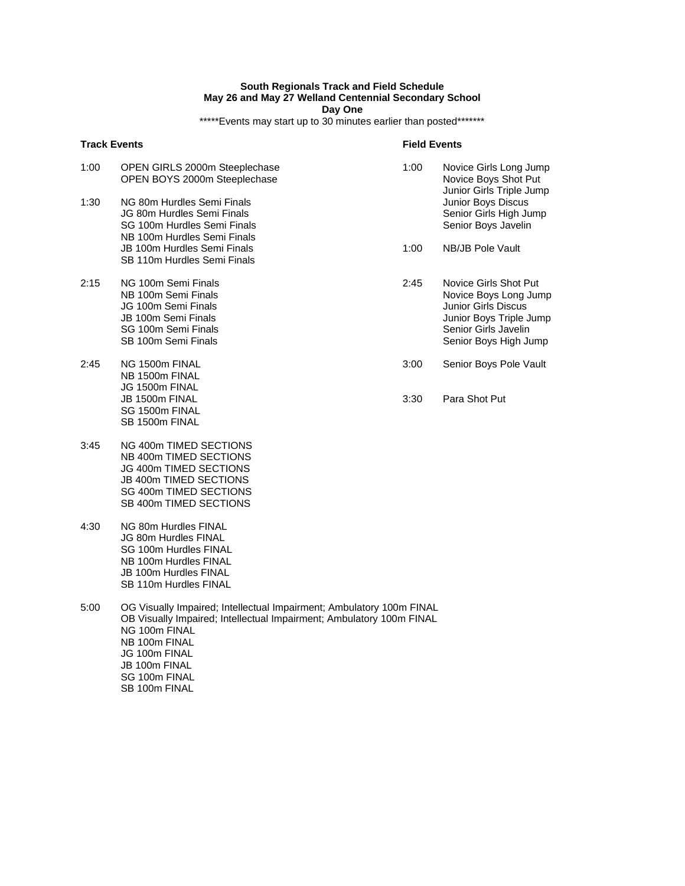## **South Regionals Track and Field Schedule May 26 and May 27 Welland Centennial Secondary School Day One**

\*\*\*\*\*Events may start up to 30 minutes earlier than posted\*\*\*\*\*\*\*

|      | <b>Track Events</b>                                                                                                                    | <b>Field Events</b> |                                                                                                                                                          |
|------|----------------------------------------------------------------------------------------------------------------------------------------|---------------------|----------------------------------------------------------------------------------------------------------------------------------------------------------|
| 1:00 | OPEN GIRLS 2000m Steeplechase<br>OPEN BOYS 2000m Steeplechase                                                                          | 1:00                | Novice Girls Long Jump<br>Novice Boys Shot Put<br>Junior Girls Triple Jump                                                                               |
| 1:30 | NG 80m Hurdles Semi Finals<br>JG 80m Hurdles Semi Finals<br>SG 100m Hurdles Semi Finals<br>NB 100m Hurdles Semi Finals                 |                     | Junior Boys Discus<br>Senior Girls High Jump<br>Senior Boys Javelin                                                                                      |
|      | JB 100m Hurdles Semi Finals<br>SB 110m Hurdles Semi Finals                                                                             | 1:00                | NB/JB Pole Vault                                                                                                                                         |
| 2:15 | NG 100m Semi Finals<br>NB 100m Semi Finals<br>JG 100m Semi Finals<br>JB 100m Semi Finals<br>SG 100m Semi Finals<br>SB 100m Semi Finals | 2:45                | Novice Girls Shot Put<br>Novice Boys Long Jump<br><b>Junior Girls Discus</b><br>Junior Boys Triple Jump<br>Senior Girls Javelin<br>Senior Boys High Jump |
| 2:45 | NG 1500m FINAL<br>NB 1500m FINAL<br>JG 1500m FINAL                                                                                     | 3:00                | Senior Boys Pole Vault                                                                                                                                   |
|      | JB 1500m FINAL<br>SG 1500m FINAL<br>SB 1500m FINAL                                                                                     | 3:30                | Para Shot Put                                                                                                                                            |

- 3:45 NG 400m TIMED SECTIONS NB 400m TIMED SECTIONS JG 400m TIMED SECTIONS JB 400m TIMED SECTIONS SG 400m TIMED SECTIONS SB 400m TIMED SECTIONS
- 4:30 NG 80m Hurdles FINAL JG 80m Hurdles FINAL SG 100m Hurdles FINAL NB 100m Hurdles FINAL JB 100m Hurdles FINAL SB 110m Hurdles FINAL
- 5:00 OG Visually Impaired; Intellectual Impairment; Ambulatory 100m FINAL OB Visually Impaired; Intellectual Impairment; Ambulatory 100m FINAL NG 100m FINAL NB 100m FINAL JG 100m FINAL JB 100m FINAL SG 100m FINAL SB 100m FINAL